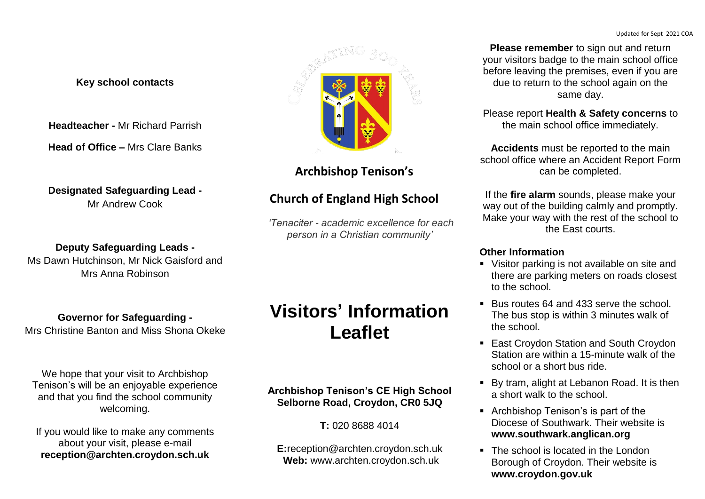**Please remember** to sign out and return your visitors badge to the main school office before leaving the premises, even if you are due to return to the school again on the same day.

Please report **Health & Safety concerns** to the main school office immediately.

**Accidents** must be reported to the main school office where an Accident Report Form can be completed.

If the **fire alarm** sounds, please make your way out of the building calmly and promptly. Make your way with the rest of the school to the East courts.

## **Other Information**

- Visitor parking is not available on site and there are parking meters on roads closest to the school.
- Bus routes 64 and 433 serve the school. The bus stop is within 3 minutes walk of the school.
- East Croydon Station and South Croydon Station are within a 15-minute walk of the school or a short bus ride.
- By tram, alight at Lebanon Road. It is then a short walk to the school.
- Archbishop Tenison's is part of the Diocese of Southwark. Their website is **www.southwark.anglican.org**
- The school is located in the London Borough of Croydon. Their website is **www.croydon.gov.uk**

### **Key school contacts**

**Headteacher -** Mr Richard Parrish

**Head of Office –** Mrs Clare Banks

**Designated Safeguarding Lead -**  Mr Andrew Cook

**Deputy Safeguarding Leads -**  Ms Dawn Hutchinson, Mr Nick Gaisford and Mrs Anna Robinson

**Governor for Safeguarding -**  Mrs Christine Banton and Miss Shona Okeke

We hope that your visit to Archbishop Tenison's will be an enjoyable experience and that you find the school community welcoming.

If you would like to make any comments about your visit, please e-mail **reception@archten.croydon.sch.uk**



## **Archbishop Tenison's**

# **Church of England High School**

*'Tenaciter - academic excellence for each person in a Christian community'*

# **Visitors' Information Leaflet**

## **Archbishop Tenison's CE High School Selborne Road, Croydon, CR0 5JQ**

**T:** 020 8688 4014

**E:**reception@archten.croydon.sch.uk  **Web:** www.archten.croydon.sch.uk